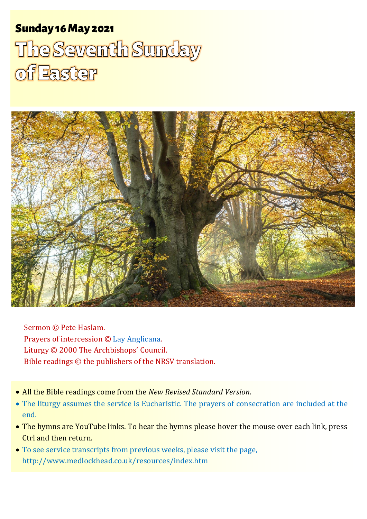# Sunday 16 May 2021 1 The Seventh Sunday of Easter Sunday 16May 2021 The Seventh Sunday of Easter



Sermon © Pete Haslam. Prayers of intercession © [Lay Anglicana.](http://www.layanglicana.org/blog/2014/05/26/intercessions-for-seventh-sunday-of-easter-year-a-21-june-2014) Liturgy © 2000 The Archbishops' Council. Bible readings © the publishers of the NRSV translation.

- All the Bible readings come from the *New Revised Standard Version*.
- The liturgy assumes the service is Eucharistic. The prayers of consecration are included at the end.
- The hymns are YouTube links. To hear the hymns please hover the mouse over each link, press Ctrl and then return.
- To see service transcripts from previous weeks, please visit the page, <http://www.medlockhead.co.uk/resources/index.htm>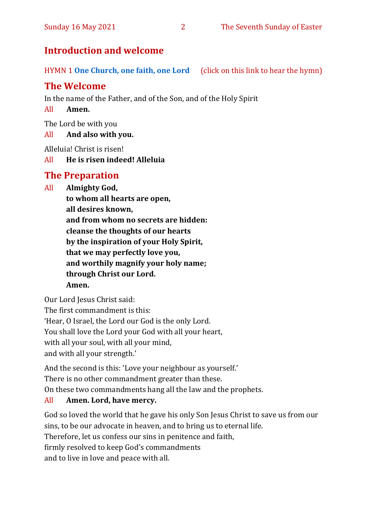# **Introduction and welcome**

HYMN 1 **[One Church, one faith, one Lord](https://www.youtube.com/watch?v=esJ7WWqG-dI&t=28s)** (click on this link to hear the hymn)

# **The Welcome**

In the name of the Father, and of the Son, and of the Holy Spirit

All **Amen.**

The Lord be with you

### All **And also with you.**

Alleluia! Christ is risen!

All **He is risen indeed! Alleluia**

# **The Preparation**

All **Almighty God, to whom all hearts are open, all desires known, and from whom no secrets are hidden: cleanse the thoughts of our hearts by the inspiration of your Holy Spirit, that we may perfectly love you, and worthily magnify your holy name; through Christ our Lord. Amen.**

Our Lord Jesus Christ said: The first commandment is this: 'Hear, O Israel, the Lord our God is the only Lord. You shall love the Lord your God with all your heart, with all your soul, with all your mind, and with all your strength.'

And the second is this: 'Love your neighbour as yourself.' There is no other commandment greater than these.

On these two commandments hang all the law and the prophets.

### All **Amen. Lord, have mercy.**

God so loved the world that he gave his only Son Jesus Christ to save us from our sins, to be our advocate in heaven, and to bring us to eternal life. Therefore, let us confess our sins in penitence and faith, firmly resolved to keep God's commandments and to live in love and peace with all.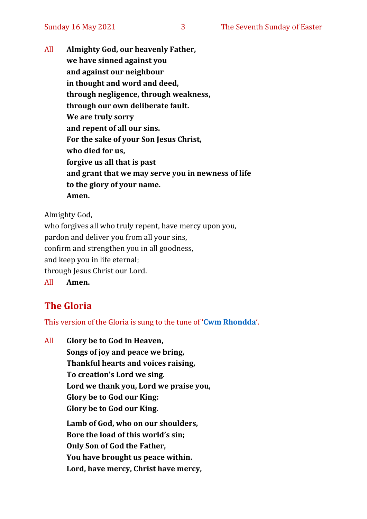All **Almighty God, our heavenly Father, we have sinned against you and against our neighbour in thought and word and deed, through negligence, through weakness, through our own deliberate fault. We are truly sorry and repent of all our sins. For the sake of your Son Jesus Christ, who died for us, forgive us all that is past and grant that we may serve you in newness of life to the glory of your name. Amen.**

Almighty God,

who forgives all who truly repent, have mercy upon you, pardon and deliver you from all your sins, confirm and strengthen you in all goodness, and keep you in life eternal; through Jesus Christ our Lord. All **Amen.**

# **The Gloria**

This version of the Gloria is sung to the tune of '**[Cwm Rhondda](https://www.youtube.com/watch?v=l71MLQ22dIk)**'.

All **Glory be to God in Heaven, Songs of joy and peace we bring, Thankful hearts and voices raising, To creation's Lord we sing. Lord we thank you, Lord we praise you, Glory be to God our King: Glory be to God our King. Lamb of God, who on our shoulders, Bore the load of this world's sin; Only Son of God the Father, You have brought us peace within. Lord, have mercy, Christ have mercy,**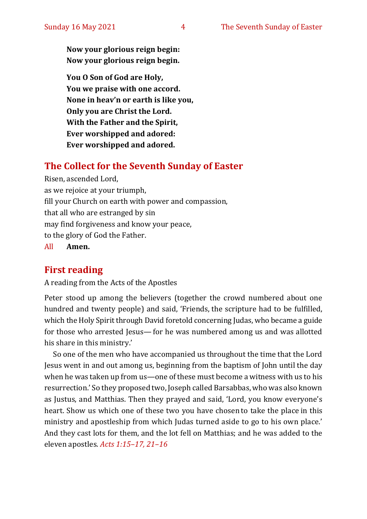**Now your glorious reign begin: Now your glorious reign begin.**

**You O Son of God are Holy, You we praise with one accord. None in heav'n or earth is like you, Only you are Christ the Lord. With the Father and the Spirit, Ever worshipped and adored: Ever worshipped and adored.**

### **The Collect for the Seventh Sunday of Easter**

Risen, ascended Lord, as we rejoice at your triumph, fill your Church on earth with power and compassion, that all who are estranged by sin may find forgiveness and know your peace, to the glory of God the Father.

All **Amen.**

### **First reading**

A reading from the Acts of the Apostles

Peter stood up among the believers (together the crowd numbered about one hundred and twenty people) and said, 'Friends, the scripture had to be fulfilled, which the Holy Spirit through David foretold concerning Judas, who became a guide for those who arrested Jesus—for he was numbered among us and was allotted his share in this ministry.'

So one of the men who have accompanied us throughout the time that the Lord Jesus went in and out among us, beginning from the baptism of John until the day when he was taken up from us—one of these must become a witness with us to his resurrection.' So they proposed two, Joseph called Barsabbas, who was also known as Justus, and Matthias. Then they prayed and said, 'Lord, you know everyone's heart. Show us which one of these two you have chosen to take the place in this ministry and apostleship from which Judas turned aside to go to his own place.' And they cast lots for them, and the lot fell on Matthias; and he was added to the eleven apostles. *Acts 1:15–17, 21–16*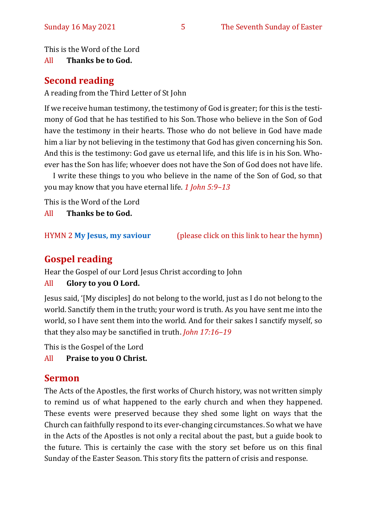This is the Word of the Lord

All **Thanks be to God.**

# **Second reading**

A reading from the Third Letter of St John

If we receive human testimony, the testimony of God is greater; for this is the testimony of God that he has testified to his Son. Those who believe in the Son of God have the testimony in their hearts. Those who do not believe in God have made him a liar by not believing in the testimony that God has given concerning his Son. And this is the testimony: God gave us eternal life, and this life is in his Son. Whoever has the Son has life; whoever does not have the Son of God does not have life.

I write these things to you who believe in the name of the Son of God, so that you may know that you have eternal life. *1 John 5:9–13*

This is the Word of the Lord

All **Thanks be to God.**

HYMN 2 **[My Jesus, my saviour](https://www.youtube.com/watch?v=mqSQvoinDE4)** (please click on this link to hear the hymn)

# **Gospel reading**

Hear the Gospel of our Lord Jesus Christ according to John

### All **Glory to you O Lord.**

Jesus said, '[My disciples] do not belong to the world, just as I do not belong to the world. Sanctify them in the truth; your word is truth. As you have sent me into the world, so I have sent them into the world. And for their sakes I sanctify myself, so that they also may be sanctified in truth. *John 17:16–19*

This is the Gospel of the Lord

All **Praise to you O Christ.** 

### **Sermon**

The Acts of the Apostles, the first works of Church history, was not written simply to remind us of what happened to the early church and when they happened. These events were preserved because they shed some light on ways that the Church can faithfully respond to its ever-changing circumstances. So what we have in the Acts of the Apostles is not only a recital about the past, but a guide book to the future. This is certainly the case with the story set before us on this final Sunday of the Easter Season. This story fits the pattern of crisis and response.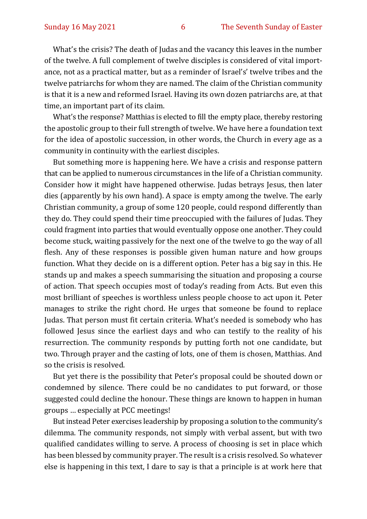What's the crisis? The death of Judas and the vacancy this leaves in the number of the twelve. A full complement of twelve disciples is considered of vital importance, not as a practical matter, but as a reminder of Israel's' twelve tribes and the twelve patriarchs for whom they are named. The claim of the Christian community is that it is a new and reformed Israel. Having its own dozen patriarchs are, at that time, an important part of its claim.

What's the response? Matthias is elected to fill the empty place, thereby restoring the apostolic group to their full strength of twelve. We have here a foundation text for the idea of apostolic succession, in other words, the Church in every age as a community in continuity with the earliest disciples.

But something more is happening here. We have a crisis and response pattern that can be applied to numerous circumstances in the life of a Christian community. Consider how it might have happened otherwise. Judas betrays Jesus, then later dies (apparently by his own hand). A space is empty among the twelve. The early Christian community, a group of some 120 people, could respond differently than they do. They could spend their time preoccupied with the failures of Judas. They could fragment into parties that would eventually oppose one another. They could become stuck, waiting passively for the next one of the twelve to go the way of all flesh. Any of these responses is possible given human nature and how groups function. What they decide on is a different option. Peter has a big say in this. He stands up and makes a speech summarising the situation and proposing a course of action. That speech occupies most of today's reading from Acts. But even this most brilliant of speeches is worthless unless people choose to act upon it. Peter manages to strike the right chord. He urges that someone be found to replace Judas. That person must fit certain criteria. What's needed is somebody who has followed Jesus since the earliest days and who can testify to the reality of his resurrection. The community responds by putting forth not one candidate, but two. Through prayer and the casting of lots, one of them is chosen, Matthias. And so the crisis is resolved.

But yet there is the possibility that Peter's proposal could be shouted down or condemned by silence. There could be no candidates to put forward, or those suggested could decline the honour. These things are known to happen in human groups … especially at PCC meetings!

But instead Peter exercises leadership by proposing a solution to the community's dilemma. The community responds, not simply with verbal assent, but with two qualified candidates willing to serve. A process of choosing is set in place which has been blessed by community prayer. The result is a crisis resolved. So whatever else is happening in this text, I dare to say is that a principle is at work here that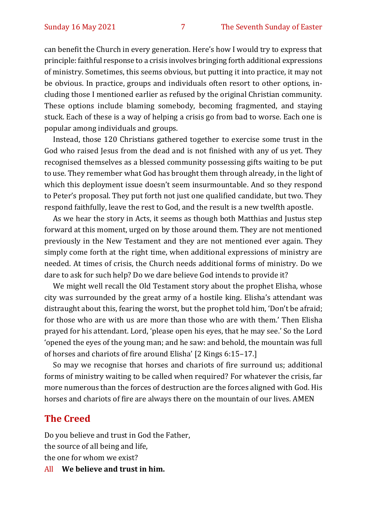can benefit the Church in every generation. Here's how I would try to express that principle: faithful response to a crisis involves bringing forth additional expressions of ministry. Sometimes, this seems obvious, but putting it into practice, it may not be obvious. In practice, groups and individuals often resort to other options, including those I mentioned earlier as refused by the original Christian community. These options include blaming somebody, becoming fragmented, and staying stuck. Each of these is a way of helping a crisis go from bad to worse. Each one is popular among individuals and groups.

Instead, those 120 Christians gathered together to exercise some trust in the God who raised Jesus from the dead and is not finished with any of us yet. They recognised themselves as a blessed community possessing gifts waiting to be put to use. They remember what God has brought them through already, in the light of which this deployment issue doesn't seem insurmountable. And so they respond to Peter's proposal. They put forth not just one qualified candidate, but two. They respond faithfully, leave the rest to God, and the result is a new twelfth apostle.

As we hear the story in Acts, it seems as though both Matthias and Justus step forward at this moment, urged on by those around them. They are not mentioned previously in the New Testament and they are not mentioned ever again. They simply come forth at the right time, when additional expressions of ministry are needed. At times of crisis, the Church needs additional forms of ministry. Do we dare to ask for such help? Do we dare believe God intends to provide it?

We might well recall the Old Testament story about the prophet Elisha, whose city was surrounded by the great army of a hostile king. Elisha's attendant was distraught about this, fearing the worst, but the prophet told him, 'Don't be afraid; for those who are with us are more than those who are with them.' Then Elisha prayed for his attendant. Lord, 'please open his eyes, that he may see.' So the Lord 'opened the eyes of the young man; and he saw: and behold, the mountain was full of horses and chariots of fire around Elisha' [2 Kings 6:15–17.]

So may we recognise that horses and chariots of fire surround us; additional forms of ministry waiting to be called when required? For whatever the crisis, far more numerous than the forces of destruction are the forces aligned with God. His horses and chariots of fire are always there on the mountain of our lives. AMEN

### **The Creed**

Do you believe and trust in God the Father, the source of all being and life, the one for whom we exist?

All **We believe and trust in him.**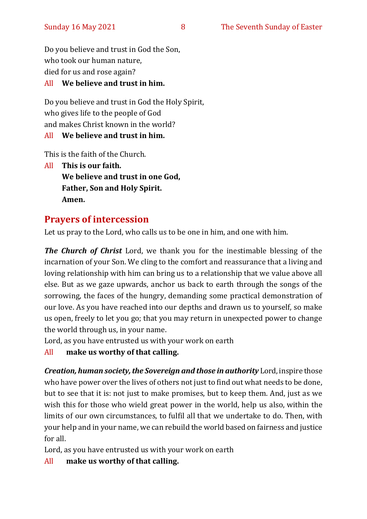Do you believe and trust in God the Son, who took our human nature, died for us and rose again?

### All **We believe and trust in him.**

Do you believe and trust in God the Holy Spirit, who gives life to the people of God and makes Christ known in the world?

### All **We believe and trust in him.**

This is the faith of the Church.

All **This is our faith. We believe and trust in one God, Father, Son and Holy Spirit. Amen.**

# **Prayers of intercession**

Let us pray to the Lord, who calls us to be one in him, and one with him.

*The Church of Christ* Lord, we thank you for the inestimable blessing of the incarnation of your Son. We cling to the comfort and reassurance that a living and loving relationship with him can bring us to a relationship that we value above all else. But as we gaze upwards, anchor us back to earth through the songs of the sorrowing, the faces of the hungry, demanding some practical demonstration of our love. As you have reached into our depths and drawn us to yourself, so make us open, freely to let you go; that you may return in unexpected power to change the world through us, in your name.

Lord, as you have entrusted us with your work on earth

All **make us worthy of that calling.**

*Creation, human society, the Sovereign and those in authority* Lord, inspire those who have power over the lives of others not just to find out what needs to be done, but to see that it is: not just to make promises, but to keep them. And, just as we wish this for those who wield great power in the world, help us also, within the limits of our own circumstances, to fulfil all that we undertake to do. Then, with your help and in your name, we can rebuild the world based on fairness and justice for all.

Lord, as you have entrusted us with your work on earth

All **make us worthy of that calling.**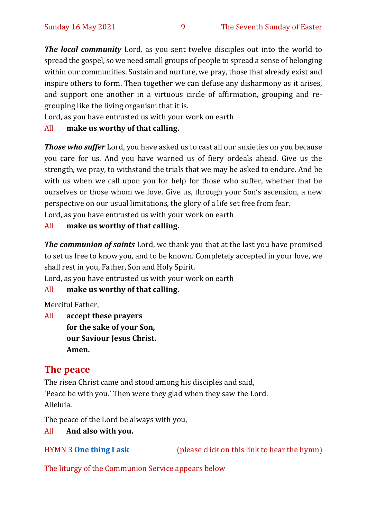*The local community* Lord, as you sent twelve disciples out into the world to spread the gospel, so we need small groups of people to spread a sense of belonging within our communities. Sustain and nurture, we pray, those that already exist and inspire others to form. Then together we can defuse any disharmony as it arises, and support one another in a virtuous circle of affirmation, grouping and regrouping like the living organism that it is.

Lord, as you have entrusted us with your work on earth

### All **make us worthy of that calling.**

*Those who suffer* Lord, you have asked us to cast all our anxieties on you because you care for us. And you have warned us of fiery ordeals ahead. Give us the strength, we pray, to withstand the trials that we may be asked to endure. And be with us when we call upon you for help for those who suffer, whether that be ourselves or those whom we love. Give us, through your Son's ascension, a new perspective on our usual limitations, the glory of a life set free from fear.

Lord, as you have entrusted us with your work on earth

### All **make us worthy of that calling.**

*The communion of saints* Lord, we thank you that at the last you have promised to set us free to know you, and to be known. Completely accepted in your love, we shall rest in you, Father, Son and Holy Spirit.

Lord, as you have entrusted us with your work on earth

### All **make us worthy of that calling.**

Merciful Father,

All **accept these prayers for the sake of your Son, our Saviour Jesus Christ. Amen.**

### **The peace**

The risen Christ came and stood among his disciples and said, 'Peace be with you.' Then were they glad when they saw the Lord. Alleluia.

The peace of the Lord be always with you,

### All **And also with you.**

HYMN 3 **[One thing I ask](https://www.youtube.com/watch?v=od8900719uY)** (please click on this link to hear the hymn)

The liturgy of the Communion Service appears below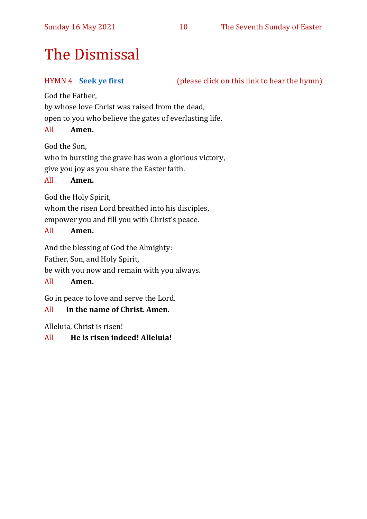### Sunday 16 May 2021 10 The Seventh Sunday of Easter

# The Dismissal

HYMN 4 **[Seek ye first](https://www.youtube.com/watch?v=94I07YCeqBs)** (please click on this link to hear the hymn)

God the Father,

by whose love Christ was raised from the dead,

open to you who believe the gates of everlasting life.

### All **Amen.**

God the Son,

who in bursting the grave has won a glorious victory, give you joy as you share the Easter faith.

### All **Amen.**

God the Holy Spirit,

whom the risen Lord breathed into his disciples,

empower you and fill you with Christ's peace.

### All **Amen.**

And the blessing of God the Almighty:

Father, Son, and Holy Spirit,

be with you now and remain with you always.

### All **Amen.**

Go in peace to love and serve the Lord.

### All **In the name of Christ. Amen.**

Alleluia, Christ is risen!

### All **He is risen indeed! Alleluia!**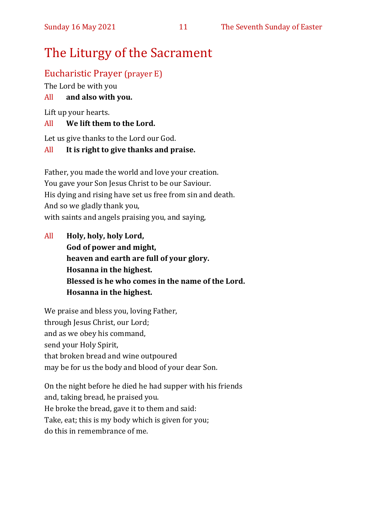# The Liturgy of the Sacrament

# Eucharistic Prayer (prayer E)

The Lord be with you

### All **and also with you.**

Lift up your hearts.

### All **We lift them to the Lord.**

Let us give thanks to the Lord our God.

### All **It is right to give thanks and praise.**

Father, you made the world and love your creation. You gave your Son Jesus Christ to be our Saviour. His dying and rising have set us free from sin and death. And so we gladly thank you, with saints and angels praising you, and saying,

All **Holy, holy, holy Lord, God of power and might, heaven and earth are full of your glory. Hosanna in the highest. Blessed is he who comes in the name of the Lord. Hosanna in the highest.**

We praise and bless you, loving Father, through Jesus Christ, our Lord; and as we obey his command, send your Holy Spirit, that broken bread and wine outpoured may be for us the body and blood of your dear Son.

On the night before he died he had supper with his friends and, taking bread, he praised you. He broke the bread, gave it to them and said: Take, eat; this is my body which is given for you; do this in remembrance of me.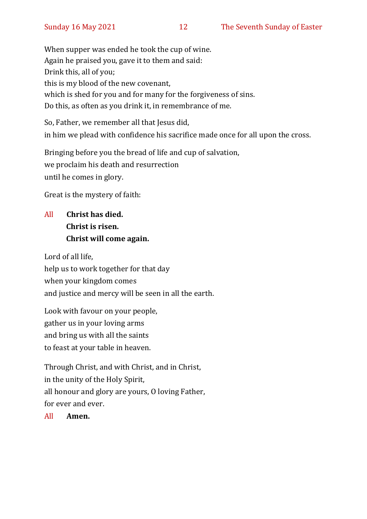When supper was ended he took the cup of wine. Again he praised you, gave it to them and said: Drink this, all of you; this is my blood of the new covenant, which is shed for you and for many for the forgiveness of sins. Do this, as often as you drink it, in remembrance of me.

So, Father, we remember all that Jesus did, in him we plead with confidence his sacrifice made once for all upon the cross.

Bringing before you the bread of life and cup of salvation, we proclaim his death and resurrection until he comes in glory.

Great is the mystery of faith:

# All **Christ has died. Christ is risen. Christ will come again.**

Lord of all life, help us to work together for that day when your kingdom comes and justice and mercy will be seen in all the earth.

Look with favour on your people, gather us in your loving arms and bring us with all the saints to feast at your table in heaven.

Through Christ, and with Christ, and in Christ, in the unity of the Holy Spirit, all honour and glory are yours, O loving Father, for ever and ever.

All **Amen.**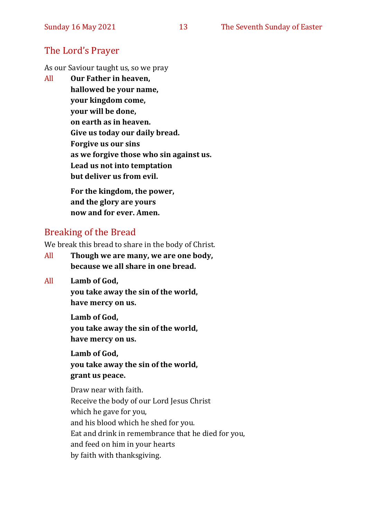# The Lord's Prayer

As our Saviour taught us, so we pray

All **Our Father in heaven, hallowed be your name, your kingdom come, your will be done, on earth as in heaven. Give us today our daily bread. Forgive us our sins as we forgive those who sin against us. Lead us not into temptation but deliver us from evil. For the kingdom, the power,** 

**and the glory are yours now and for ever. Amen.**

# Breaking of the Bread

We break this bread to share in the body of Christ.

- All **Though we are many, we are one body, because we all share in one bread.**
- All **Lamb of God,**

**you take away the sin of the world, have mercy on us.**

**Lamb of God, you take away the sin of the world, have mercy on us.**

**Lamb of God, you take away the sin of the world, grant us peace.**

Draw near with faith. Receive the body of our Lord Jesus Christ which he gave for you, and his blood which he shed for you. Eat and drink in remembrance that he died for you, and feed on him in your hearts by faith with thanksgiving.